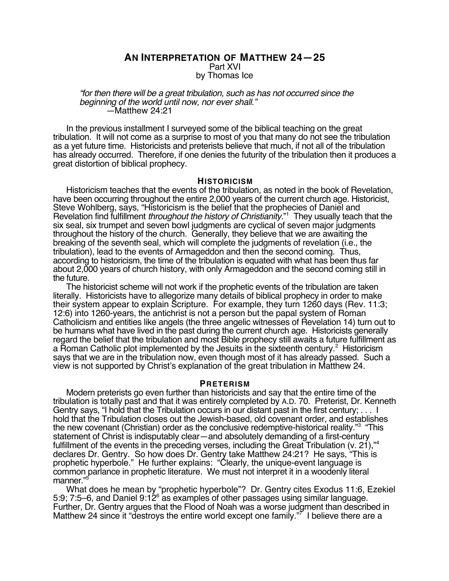# **AN INTERPRETATION OF MATTHEW 24—25** Part XVI by Thomas Ice

### "for then there will be a great tribulation, such as has not occurred since the beginning of the world until now, nor ever shall." —Matthew 24:21

In the previous installment I surveyed some of the biblical teaching on the great tribulation. It will not come as a surprise to most of you that many do not see the tribulation as a yet future time. Historicists and preterists believe that much, if not all of the tribulation has already occurred. Therefore, if one denies the futurity of the tribulation then it produces a great distortion of biblical prophecy.

### **HISTORICISM**

Historicism teaches that the events of the tribulation, as noted in the book of Revelation, have been occurring throughout the entire 2,000 years of the current church age. Historicist, Steve Wohlberg, says, "Historicism is the belief that the prophecies of Daniel and Revelation find fulfillment throughout the history of Christianity."<sup>1</sup> They usually teach that the six seal, six trumpet and seven bowl judgments are cyclical of seven major judgments throughout the history of the church. Generally, they believe that we are awaiting the breaking of the seventh seal, which will complete the judgments of revelation (i.e., the tribulation), lead to the events of Armageddon and then the second coming. Thus, according to historicism, the time of the tribulation is equated with what has been thus far about 2,000 years of church history, with only Armageddon and the second coming still in the future.

The historicist scheme will not work if the prophetic events of the tribulation are taken literally. Historicists have to allegorize many details of biblical prophecy in order to make their system appear to explain Scripture. For example, they turn 1260 days (Rev. 11:3; 12:6) into 1260-years, the antichrist is not a person but the papal system of Roman Catholicism and entities like angels (the three angelic witnesses of Revelation 14) turn out to be humans what have lived in the past during the current church age. Historicists generally regard the belief that the tribulation and most Bible prophecy still awaits a future fulfillment as a Roman Catholic plot implemented by the Jesuits in the sixteenth century.<sup>2</sup> Historicism says that we are in the tribulation now, even though most of it has already passed. Such a view is not supported by Christ's explanation of the great tribulation in Matthew 24.

## **PRETERISM**

Modern preterists go even further than historicists and say that the entire time of the tribulation is totally past and that it was entirely completed by A.D. 70. Preterist, Dr. Kenneth Gentry says, "I hold that the Tribulation occurs in our distant past in the first century; . . . I hold that the Tribulation closes out the Jewish-based, old covenant order, and establishes the new covenant (Christian) order as the conclusive redemptive-historical reality."<sup>3</sup> "This statement of Christ is indisputably clear—and absolutely demanding of a first-century fulfillment of the events in the preceding verses, including the Great Tribulation (v. 21),"<sup>4</sup> declares Dr. Gentry. So how does Dr. Gentry take Matthew 24:21? He says, "This is prophetic hyperbole." He further explains: "Clearly, the unique-event language is common parlance in prophetic literature. We must not interpret it in a woodenly literal manner."

What does he mean by "prophetic hyperbole"? Dr. Gentry cites Exodus 11:6, Ezekiel 5:9; 7:5–6, and Daniel 9:12 $^{\circ}$  as examples of other passages using similar language. Further, Dr. Gentry argues that the Flood of Noah was a worse judgment than described in Matthew 24 since it "destroys the entire world except one family."<sup>7</sup> I believe there are a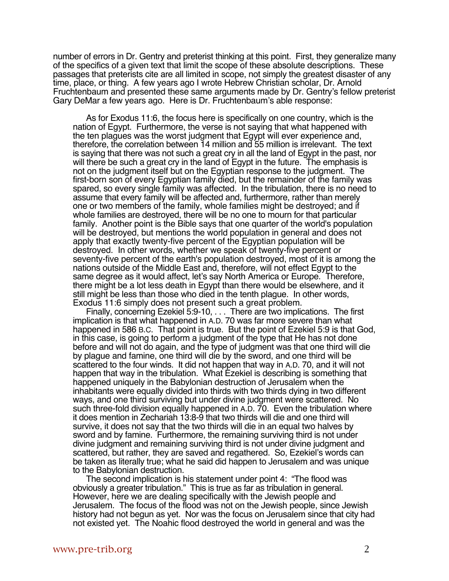number of errors in Dr. Gentry and preterist thinking at this point. First, they generalize many of the specifics of a given text that limit the scope of these absolute descriptions. These passages that preterists cite are all limited in scope, not simply the greatest disaster of any time, place, or thing. A few years ago I wrote Hebrew Christian scholar, Dr. Arnold Fruchtenbaum and presented these same arguments made by Dr. Gentry's fellow preterist Gary DeMar a few years ago. Here is Dr. Fruchtenbaum's able response:

As for Exodus 11:6, the focus here is specifically on one country, which is the nation of Egypt. Furthermore, the verse is not saying that what happened with the ten plagues was the worst judgment that Egypt will ever experience and, therefore, the correlation between 14 million and 55 million is irrelevant. The text is saying that there was not such a great cry in all the land of Egypt in the past, nor will there be such a great cry in the land of Egypt in the future. The emphasis is not on the judgment itself but on the Egyptian response to the judgment. The first-born son of every Egyptian family died, but the remainder of the family was spared, so every single family was affected. In the tribulation, there is no need to assume that every family will be affected and, furthermore, rather than merely one or two members of the family, whole families might be destroyed; and if whole families are destroyed, there will be no one to mourn for that particular family. Another point is the Bible says that one quarter of the world's population will be destroyed, but mentions the world population in general and does not apply that exactly twenty-five percent of the Egyptian population will be destroyed. In other words, whether we speak of twenty-five percent or seventy-five percent of the earth's population destroyed, most of it is among the nations outside of the Middle East and, therefore, will not effect Egypt to the same degree as it would affect, let's say North America or Europe. Therefore, there might be a lot less death in Egypt than there would be elsewhere, and it still might be less than those who died in the tenth plague. In other words, Exodus 11:6 simply does not present such a great problem.

Finally, concerning Ezekiel 5:9-10, . . . There are two implications. The first implication is that what happened in A.D. 70 was far more severe than what happened in 586 B.C. That point is true. But the point of Ezekiel 5:9 is that God, in this case, is going to perform a judgment of the type that He has not done before and will not do again, and the type of judgment was that one third will die by plague and famine, one third will die by the sword, and one third will be scattered to the four winds. It did not happen that way in A.D. 70, and it will not happen that way in the tribulation. What Ezekiel is describing is something that happened uniquely in the Babylonian destruction of Jerusalem when the inhabitants were equally divided into thirds with two thirds dying in two different ways, and one third surviving but under divine judgment were scattered. No such three-fold division equally happened in A.D. 70. Even the tribulation where it does mention in Zechariah 13:8-9 that two thirds will die and one third will survive, it does not say that the two thirds will die in an equal two halves by sword and by famine. Furthermore, the remaining surviving third is not under divine judgment and remaining surviving third is not under divine judgment and scattered, but rather, they are saved and regathered. So, Ezekiel's words can be taken as literally true; what he said did happen to Jerusalem and was unique to the Babylonian destruction.

The second implication is his statement under point 4: "The flood was obviously a greater tribulation." This is true as far as tribulation in general. However, here we are dealing specifically with the Jewish people and Jerusalem. The focus of the flood was not on the Jewish people, since Jewish history had not begun as yet. Nor was the focus on Jerusalem since that city had not existed yet. The Noahic flood destroyed the world in general and was the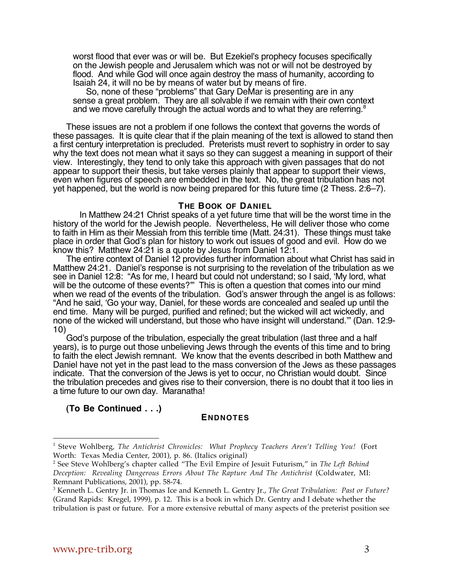worst flood that ever was or will be. But Ezekiel's prophecy focuses specifically on the Jewish people and Jerusalem which was not or will not be destroyed by flood. And while God will once again destroy the mass of humanity, according to Isaiah 24, it will no be by means of water but by means of fire.

So, none of these "problems" that Gary DeMar is presenting are in any sense a great problem. They are all solvable if we remain with their own context and we move carefully through the actual words and to what they are referring.<sup>8</sup>

These issues are not a problem if one follows the context that governs the words of these passages. It is quite clear that if the plain meaning of the text is allowed to stand then a first century interpretation is precluded. Preterists must revert to sophistry in order to say why the text does not mean what it says so they can suggest a meaning in support of their view. Interestingly, they tend to only take this approach with given passages that do not appear to support their thesis, but take verses plainly that appear to support their views, even when figures of speech are embedded in the text. No, the great tribulation has not yet happened, but the world is now being prepared for this future time (2 Thess. 2:6–7).

#### **THE BOOK OF DANIEL**

In Matthew 24:21 Christ speaks of a yet future time that will be the worst time in the history of the world for the Jewish people. Nevertheless, He will deliver those who come to faith in Him as their Messiah from this terrible time (Matt. 24:31). These things must take place in order that God's plan for history to work out issues of good and evil. How do we know this? Matthew 24:21 is a quote by Jesus from Daniel 12:1.

The entire context of Daniel 12 provides further information about what Christ has said in Matthew 24:21. Daniel's response is not surprising to the revelation of the tribulation as we see in Daniel 12:8: "As for me, I heard but could not understand; so I said, 'My lord, what will be the outcome of these events?" This is often a question that comes into our mind when we read of the events of the tribulation. God's answer through the angel is as follows: "And he said, 'Go your way, Daniel, for these words are concealed and sealed up until the end time. Many will be purged, purified and refined; but the wicked will act wickedly, and none of the wicked will understand, but those who have insight will understand.'" (Dan. 12:9- 10)

God's purpose of the tribulation, especially the great tribulation (last three and a half years), is to purge out those unbelieving Jews through the events of this time and to bring to faith the elect Jewish remnant. We know that the events described in both Matthew and Daniel have not yet in the past lead to the mass conversion of the Jews as these passages indicate. That the conversion of the Jews is yet to occur, no Christian would doubt. Since the tribulation precedes and gives rise to their conversion, there is no doubt that it too lies in a time future to our own day. Maranatha!

**(To Be Continued . . .)**

## **ENDNOTES**

 $\overline{a}$ 

<sup>1</sup> Steve Wohlberg, *The Antichrist Chronicles: What Prophecy Teachers Aren't Telling You!* (Fort Worth: Texas Media Center, 2001), p. 86. (Italics original)

<sup>2</sup> See Steve Wohlberg's chapter called "The Evil Empire of Jesuit Futurism," in *The Left Behind Deception: Revealing Dangerous Errors About The Rapture And The Antichrist* (Coldwater, MI: Remnant Publications, 2001), pp. 58-74.

<sup>3</sup> Kenneth L. Gentry Jr. in Thomas Ice and Kenneth L. Gentry Jr., *The Great Tribulation: Past or Future?* (Grand Rapids: Kregel, 1999), p. 12. This is a book in which Dr. Gentry and I debate whether the tribulation is past or future. For a more extensive rebuttal of many aspects of the preterist position see